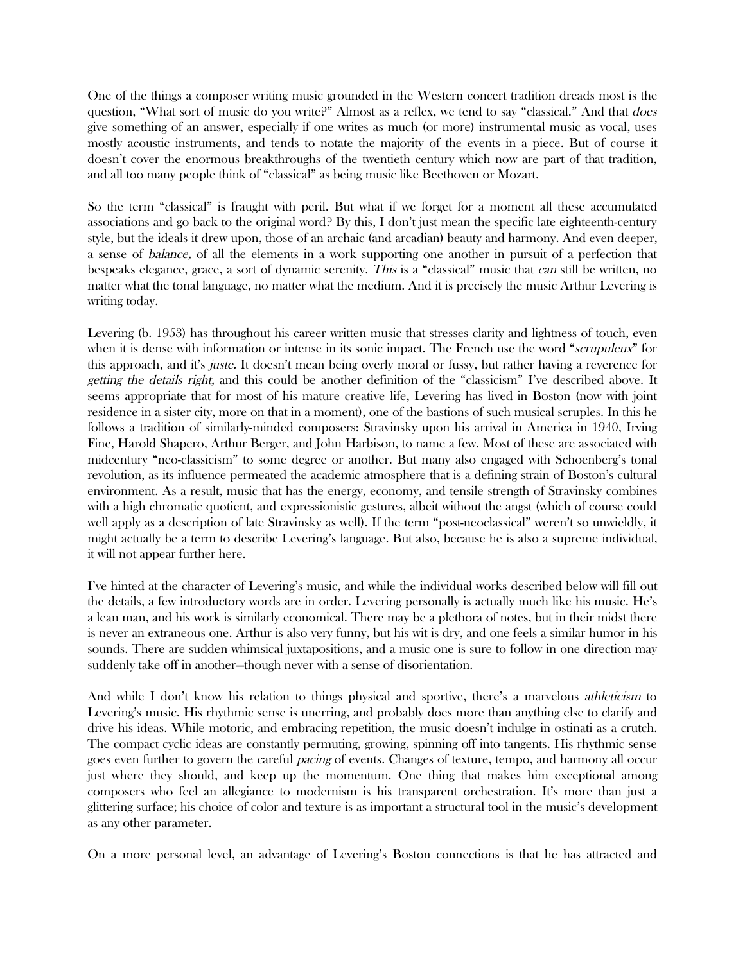One of the things a composer writing music grounded in the Western concert tradition dreads most is the question, "What sort of music do you write?" Almost as a reflex, we tend to say "classical." And that *does* give something of an answer, especially if one writes as much (or more) instrumental music as vocal, uses mostly acoustic instruments, and tends to notate the majority of the events in a piece. But of course it doesn't cover the enormous breakthroughs of the twentieth century which now are part of that tradition, and all too many people think of "classical" as being music like Beethoven or Mozart.

So the term "classical" is fraught with peril. But what if we forget for a moment all these accumulated associations and go back to the original word? By this, I don't just mean the specific late eighteenth-century style, but the ideals it drew upon, those of an archaic (and arcadian) beauty and harmony. And even deeper, a sense of balance, of all the elements in a work supporting one another in pursuit of a perfection that bespeaks elegance, grace, a sort of dynamic serenity. This is a "classical" music that can still be written, no matter what the tonal language, no matter what the medium. And it is precisely the music Arthur Levering is writing today.

Levering (b. 1953) has throughout his career written music that stresses clarity and lightness of touch, even when it is dense with information or intense in its sonic impact. The French use the word "*scrupuleux*" for this approach, and it's juste. It doesn't mean being overly moral or fussy, but rather having a reverence for getting the details right, and this could be another definition of the "classicism" I've described above. It seems appropriate that for most of his mature creative life, Levering has lived in Boston (now with joint residence in a sister city, more on that in a moment), one of the bastions of such musical scruples. In this he follows a tradition of similarly-minded composers: Stravinsky upon his arrival in America in 1940, Irving Fine, Harold Shapero, Arthur Berger, and John Harbison, to name a few. Most of these are associated with midcentury "neo-classicism" to some degree or another. But many also engaged with Schoenberg's tonal revolution, as its influence permeated the academic atmosphere that is a defining strain of Boston's cultural environment. As a result, music that has the energy, economy, and tensile strength of Stravinsky combines with a high chromatic quotient, and expressionistic gestures, albeit without the angst (which of course could well apply as a description of late Stravinsky as well). If the term "post-neoclassical" weren't so unwieldly, it might actually be a term to describe Levering's language. But also, because he is also a supreme individual, it will not appear further here.

I've hinted at the character of Levering's music, and while the individual works described below will fill out the details, a few introductory words are in order. Levering personally is actually much like his music. He's a lean man, and his work is similarly economical. There may be a plethora of notes, but in their midst there is never an extraneous one. Arthur is also very funny, but his wit is dry, and one feels a similar humor in his sounds. There are sudden whimsical juxtapositions, and a music one is sure to follow in one direction may suddenly take off in another—though never with a sense of disorientation.

And while I don't know his relation to things physical and sportive, there's a marvelous *athleticism* to Levering's music. His rhythmic sense is unerring, and probably does more than anything else to clarify and drive his ideas. While motoric, and embracing repetition, the music doesn't indulge in ostinati as a crutch. The compact cyclic ideas are constantly permuting, growing, spinning off into tangents. His rhythmic sense goes even further to govern the careful *pacing* of events. Changes of texture, tempo, and harmony all occur just where they should, and keep up the momentum. One thing that makes him exceptional among composers who feel an allegiance to modernism is his transparent orchestration. It's more than just a glittering surface; his choice of color and texture is as important a structural tool in the music's development as any other parameter.

On a more personal level, an advantage of Levering's Boston connections is that he has attracted and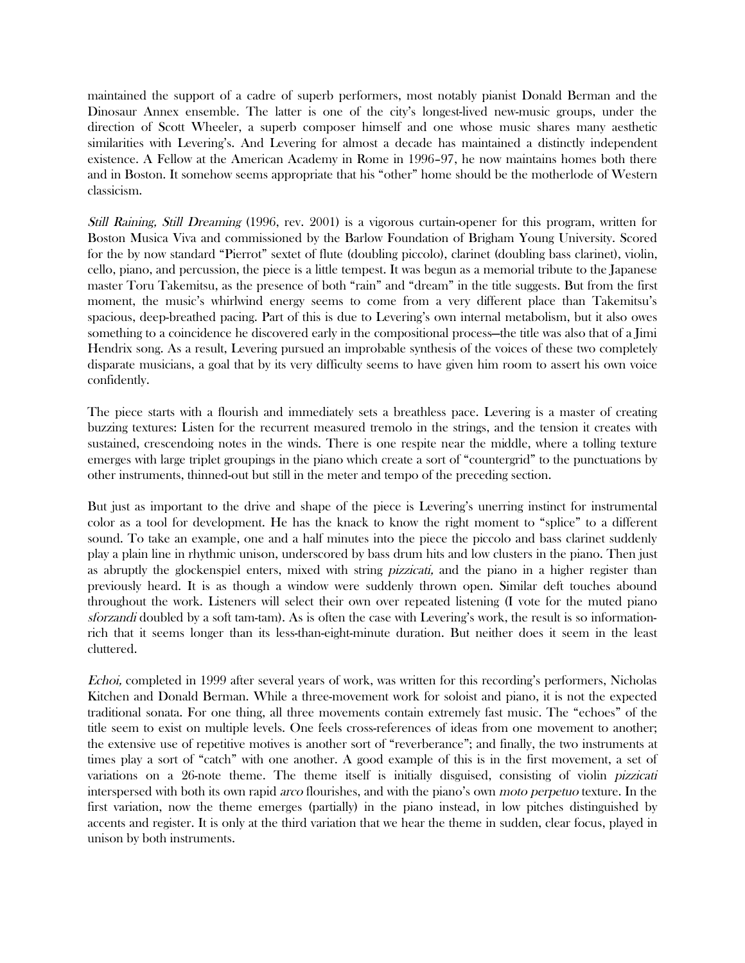maintained the support of a cadre of superb performers, most notably pianist Donald Berman and the Dinosaur Annex ensemble. The latter is one of the city's longest-lived new-music groups, under the direction of Scott Wheeler, a superb composer himself and one whose music shares many aesthetic similarities with Levering's. And Levering for almost a decade has maintained a distinctly independent existence. A Fellow at the American Academy in Rome in 1996–97, he now maintains homes both there and in Boston. It somehow seems appropriate that his "other" home should be the motherlode of Western classicism.

Still Raining, Still Dreaming (1996, rev. 2001) is a vigorous curtain-opener for this program, written for Boston Musica Viva and commissioned by the Barlow Foundation of Brigham Young University. Scored for the by now standard "Pierrot" sextet of flute (doubling piccolo), clarinet (doubling bass clarinet), violin, cello, piano, and percussion, the piece is a little tempest. It was begun as a memorial tribute to the Japanese master Toru Takemitsu, as the presence of both "rain" and "dream" in the title suggests. But from the first moment, the music's whirlwind energy seems to come from a very different place than Takemitsu's spacious, deep-breathed pacing. Part of this is due to Levering's own internal metabolism, but it also owes something to a coincidence he discovered early in the compositional process—the title was also that of a Jimi Hendrix song. As a result, Levering pursued an improbable synthesis of the voices of these two completely disparate musicians, a goal that by its very difficulty seems to have given him room to assert his own voice confidently.

The piece starts with a flourish and immediately sets a breathless pace. Levering is a master of creating buzzing textures: Listen for the recurrent measured tremolo in the strings, and the tension it creates with sustained, crescendoing notes in the winds. There is one respite near the middle, where a tolling texture emerges with large triplet groupings in the piano which create a sort of "countergrid" to the punctuations by other instruments, thinned-out but still in the meter and tempo of the preceding section.

But just as important to the drive and shape of the piece is Levering's unerring instinct for instrumental color as a tool for development. He has the knack to know the right moment to "splice" to a different sound. To take an example, one and a half minutes into the piece the piccolo and bass clarinet suddenly play a plain line in rhythmic unison, underscored by bass drum hits and low clusters in the piano. Then just as abruptly the glockenspiel enters, mixed with string *pizzicati*, and the piano in a higher register than previously heard. It is as though a window were suddenly thrown open. Similar deft touches abound throughout the work. Listeners will select their own over repeated listening (I vote for the muted piano sforzandi doubled by a soft tam-tam). As is often the case with Levering's work, the result is so informationrich that it seems longer than its less-than-eight-minute duration. But neither does it seem in the least cluttered.

Echoi, completed in 1999 after several years of work, was written for this recording's performers, Nicholas Kitchen and Donald Berman. While a three-movement work for soloist and piano, it is not the expected traditional sonata. For one thing, all three movements contain extremely fast music. The "echoes" of the title seem to exist on multiple levels. One feels cross-references of ideas from one movement to another; the extensive use of repetitive motives is another sort of "reverberance"; and finally, the two instruments at times play a sort of "catch" with one another. A good example of this is in the first movement, a set of variations on a 26-note theme. The theme itself is initially disguised, consisting of violin pizzicati interspersed with both its own rapid arco flourishes, and with the piano's own moto perpetuo texture. In the first variation, now the theme emerges (partially) in the piano instead, in low pitches distinguished by accents and register. It is only at the third variation that we hear the theme in sudden, clear focus, played in unison by both instruments.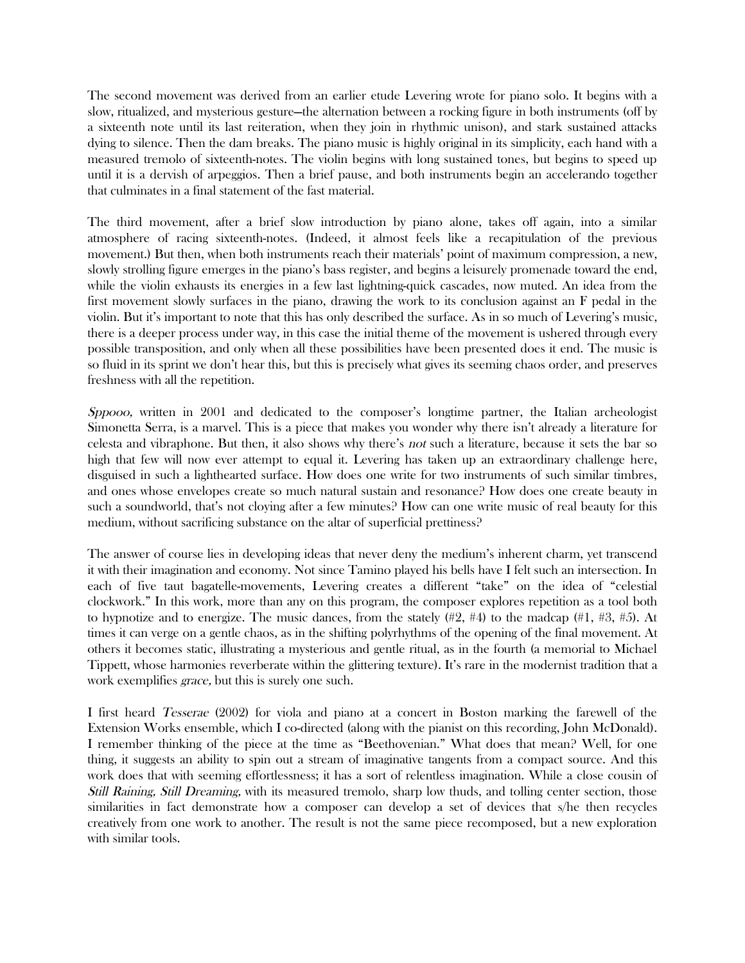The second movement was derived from an earlier etude Levering wrote for piano solo. It begins with a slow, ritualized, and mysterious gesture—the alternation between a rocking figure in both instruments (off by a sixteenth note until its last reiteration, when they join in rhythmic unison), and stark sustained attacks dying to silence. Then the dam breaks. The piano music is highly original in its simplicity, each hand with a measured tremolo of sixteenth-notes. The violin begins with long sustained tones, but begins to speed up until it is a dervish of arpeggios. Then a brief pause, and both instruments begin an accelerando together that culminates in a final statement of the fast material.

The third movement, after a brief slow introduction by piano alone, takes off again, into a similar atmosphere of racing sixteenth-notes. (Indeed, it almost feels like a recapitulation of the previous movement.) But then, when both instruments reach their materials' point of maximum compression, a new, slowly strolling figure emerges in the piano's bass register, and begins a leisurely promenade toward the end, while the violin exhausts its energies in a few last lightning-quick cascades, now muted. An idea from the first movement slowly surfaces in the piano, drawing the work to its conclusion against an F pedal in the violin. But it's important to note that this has only described the surface. As in so much of Levering's music, there is a deeper process under way, in this case the initial theme of the movement is ushered through every possible transposition, and only when all these possibilities have been presented does it end. The music is so fluid in its sprint we don't hear this, but this is precisely what gives its seeming chaos order, and preserves freshness with all the repetition.

Sppooo, written in 2001 and dedicated to the composer's longtime partner, the Italian archeologist Simonetta Serra, is a marvel. This is a piece that makes you wonder why there isn't already a literature for celesta and vibraphone. But then, it also shows why there's not such a literature, because it sets the bar so high that few will now ever attempt to equal it. Levering has taken up an extraordinary challenge here, disguised in such a lighthearted surface. How does one write for two instruments of such similar timbres, and ones whose envelopes create so much natural sustain and resonance? How does one create beauty in such a soundworld, that's not cloying after a few minutes? How can one write music of real beauty for this medium, without sacrificing substance on the altar of superficial prettiness?

The answer of course lies in developing ideas that never deny the medium's inherent charm, yet transcend it with their imagination and economy. Not since Tamino played his bells have I felt such an intersection. In each of five taut bagatelle-movements, Levering creates a different "take" on the idea of "celestial clockwork." In this work, more than any on this program, the composer explores repetition as a tool both to hypnotize and to energize. The music dances, from the stately  $(#2, #4)$  to the madcap  $(#1, #3, #5)$ . At times it can verge on a gentle chaos, as in the shifting polyrhythms of the opening of the final movement. At others it becomes static, illustrating a mysterious and gentle ritual, as in the fourth (a memorial to Michael Tippett, whose harmonies reverberate within the glittering texture). It's rare in the modernist tradition that a work exemplifies grace, but this is surely one such.

I first heard Tesserae (2002) for viola and piano at a concert in Boston marking the farewell of the Extension Works ensemble, which I co-directed (along with the pianist on this recording, John McDonald). I remember thinking of the piece at the time as "Beethovenian." What does that mean? Well, for one thing, it suggests an ability to spin out a stream of imaginative tangents from a compact source. And this work does that with seeming effortlessness; it has a sort of relentless imagination. While a close cousin of Still Raining, Still Dreaming, with its measured tremolo, sharp low thuds, and tolling center section, those similarities in fact demonstrate how a composer can develop a set of devices that s/he then recycles creatively from one work to another. The result is not the same piece recomposed, but a new exploration with similar tools.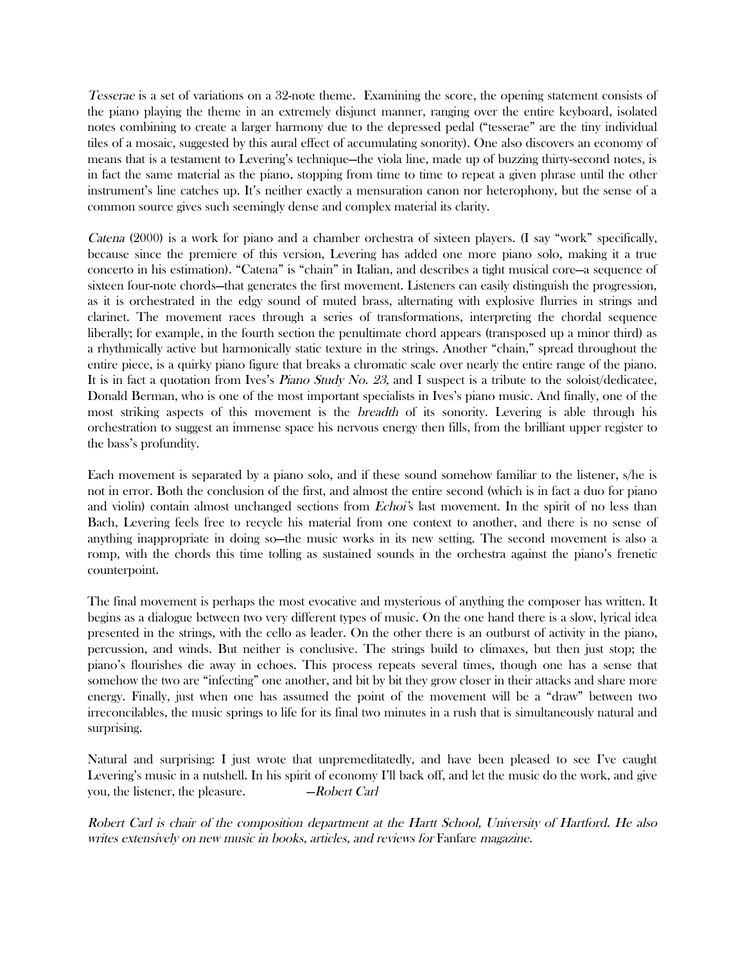Tesserae is a set of variations on a 32-note theme. Examining the score, the opening statement consists of the piano playing the theme in an extremely disjunct manner, ranging over the entire keyboard, isolated notes combining to create a larger harmony due to the depressed pedal ("tesserae" are the tiny individual tiles of a mosaic, suggested by this aural effect of accumulating sonority). One also discovers an economy of means that is a testament to Levering's technique—the viola line, made up of buzzing thirty-second notes, is in fact the same material as the piano, stopping from time to time to repeat a given phrase until the other instrument's line catches up. It's neither exactly a mensuration canon nor heterophony, but the sense of a common source gives such seemingly dense and complex material its clarity.

Catena (2000) is a work for piano and a chamber orchestra of sixteen players. (I say "work" specifically, because since the premiere of this version, Levering has added one more piano solo, making it a true concerto in his estimation). "Catena" is "chain" in Italian, and describes a tight musical core—a sequence of sixteen four-note chords—that generates the first movement. Listeners can easily distinguish the progression, as it is orchestrated in the edgy sound of muted brass, alternating with explosive flurries in strings and clarinet. The movement races through a series of transformations, interpreting the chordal sequence liberally; for example, in the fourth section the penultimate chord appears (transposed up a minor third) as a rhythmically active but harmonically static texture in the strings. Another "chain," spread throughout the entire piece, is a quirky piano figure that breaks a chromatic scale over nearly the entire range of the piano. It is in fact a quotation from Ives's *Piano Study No. 23*, and I suspect is a tribute to the soloist/dedicatee, Donald Berman, who is one of the most important specialists in Ives's piano music. And finally, one of the most striking aspects of this movement is the breadth of its sonority. Levering is able through his orchestration to suggest an immense space his nervous energy then fills, from the brilliant upper register to the bass's profundity.

Each movement is separated by a piano solo, and if these sound somehow familiar to the listener, s/he is not in error. Both the conclusion of the first, and almost the entire second (which is in fact a duo for piano and violin) contain almost unchanged sections from *Echoi's* last movement. In the spirit of no less than Bach, Levering feels free to recycle his material from one context to another, and there is no sense of anything inappropriate in doing so—the music works in its new setting. The second movement is also a romp, with the chords this time tolling as sustained sounds in the orchestra against the piano's frenetic counterpoint.

The final movement is perhaps the most evocative and mysterious of anything the composer has written. It begins as a dialogue between two very different types of music. On the one hand there is a slow, lyrical idea presented in the strings, with the cello as leader. On the other there is an outburst of activity in the piano, percussion, and winds. But neither is conclusive. The strings build to climaxes, but then just stop; the piano's flourishes die away in echoes. This process repeats several times, though one has a sense that somehow the two are "infecting" one another, and bit by bit they grow closer in their attacks and share more energy. Finally, just when one has assumed the point of the movement will be a "draw" between two irreconcilables, the music springs to life for its final two minutes in a rush that is simultaneously natural and surprising.

Natural and surprising: I just wrote that unpremeditatedly, and have been pleased to see I've caught Levering's music in a nutshell. In his spirit of economy I'll back off, and let the music do the work, and give you, the listener, the pleasure. —Robert Carl

Robert Carl is chair of the composition department at the Hartt School, University of Hartford. He also writes extensively on new music in books, articles, and reviews for Fanfare magazine.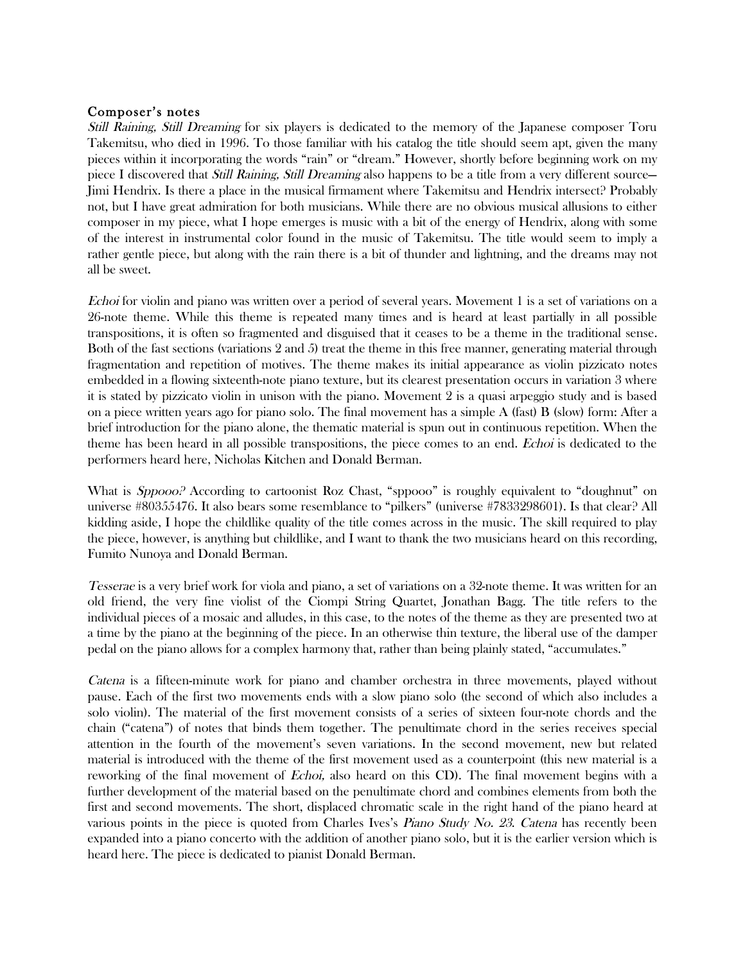### Composer's notes

Still Raining, Still Dreaming for six players is dedicated to the memory of the Japanese composer Toru Takemitsu, who died in 1996. To those familiar with his catalog the title should seem apt, given the many pieces within it incorporating the words "rain" or "dream." However, shortly before beginning work on my piece I discovered that Still Raining, Still Dreaming also happens to be a title from a very different source— Jimi Hendrix. Is there a place in the musical firmament where Takemitsu and Hendrix intersect? Probably not, but I have great admiration for both musicians. While there are no obvious musical allusions to either composer in my piece, what I hope emerges is music with a bit of the energy of Hendrix, along with some of the interest in instrumental color found in the music of Takemitsu. The title would seem to imply a rather gentle piece, but along with the rain there is a bit of thunder and lightning, and the dreams may not all be sweet.

Echoi for violin and piano was written over a period of several years. Movement 1 is a set of variations on a 26-note theme. While this theme is repeated many times and is heard at least partially in all possible transpositions, it is often so fragmented and disguised that it ceases to be a theme in the traditional sense. Both of the fast sections (variations 2 and 5) treat the theme in this free manner, generating material through fragmentation and repetition of motives. The theme makes its initial appearance as violin pizzicato notes embedded in a flowing sixteenth-note piano texture, but its clearest presentation occurs in variation 3 where it is stated by pizzicato violin in unison with the piano. Movement 2 is a quasi arpeggio study and is based on a piece written years ago for piano solo. The final movement has a simple A (fast) B (slow) form: After a brief introduction for the piano alone, the thematic material is spun out in continuous repetition. When the theme has been heard in all possible transpositions, the piece comes to an end. Echoi is dedicated to the performers heard here, Nicholas Kitchen and Donald Berman.

What is *Sppooo?* According to cartoonist Roz Chast, "sppooo" is roughly equivalent to "doughnut" on universe #80355476. It also bears some resemblance to "pilkers" (universe #7833298601). Is that clear? All kidding aside, I hope the childlike quality of the title comes across in the music. The skill required to play the piece, however, is anything but childlike, and I want to thank the two musicians heard on this recording, Fumito Nunoya and Donald Berman.

Tesserae is a very brief work for viola and piano, a set of variations on a 32-note theme. It was written for an old friend, the very fine violist of the Ciompi String Quartet, Jonathan Bagg. The title refers to the individual pieces of a mosaic and alludes, in this case, to the notes of the theme as they are presented two at a time by the piano at the beginning of the piece. In an otherwise thin texture, the liberal use of the damper pedal on the piano allows for a complex harmony that, rather than being plainly stated, "accumulates."

Catena is a fifteen-minute work for piano and chamber orchestra in three movements, played without pause. Each of the first two movements ends with a slow piano solo (the second of which also includes a solo violin). The material of the first movement consists of a series of sixteen four-note chords and the chain ("catena") of notes that binds them together. The penultimate chord in the series receives special attention in the fourth of the movement's seven variations. In the second movement, new but related material is introduced with the theme of the first movement used as a counterpoint (this new material is a reworking of the final movement of Echoi, also heard on this CD). The final movement begins with a further development of the material based on the penultimate chord and combines elements from both the first and second movements. The short, displaced chromatic scale in the right hand of the piano heard at various points in the piece is quoted from Charles Ives's Piano Study No. 23. Catena has recently been expanded into a piano concerto with the addition of another piano solo, but it is the earlier version which is heard here. The piece is dedicated to pianist Donald Berman.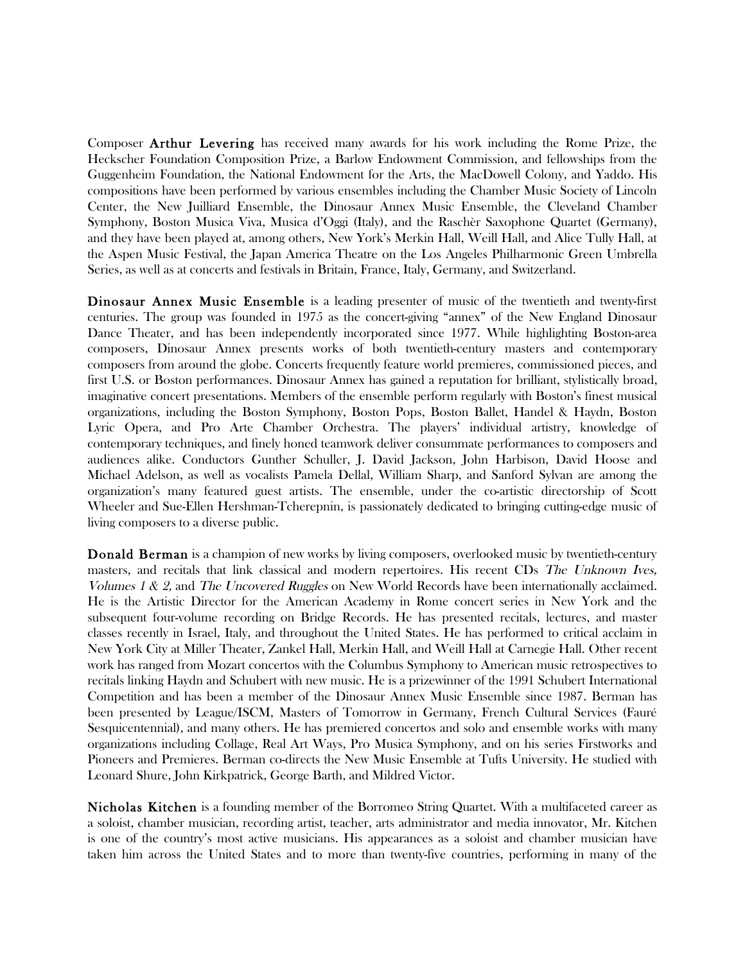Composer Arthur Levering has received many awards for his work including the Rome Prize, the Heckscher Foundation Composition Prize, a Barlow Endowment Commission, and fellowships from the Guggenheim Foundation, the National Endowment for the Arts, the MacDowell Colony, and Yaddo. His compositions have been performed by various ensembles including the Chamber Music Society of Lincoln Center, the New Juilliard Ensemble, the Dinosaur Annex Music Ensemble, the Cleveland Chamber Symphony, Boston Musica Viva, Musica d'Oggi (Italy), and the Raschèr Saxophone Quartet (Germany), and they have been played at, among others, New York's Merkin Hall, Weill Hall, and Alice Tully Hall, at the Aspen Music Festival, the Japan America Theatre on the Los Angeles Philharmonic Green Umbrella Series, as well as at concerts and festivals in Britain, France, Italy, Germany, and Switzerland.

Dinosaur Annex Music Ensemble is a leading presenter of music of the twentieth and twenty-first centuries. The group was founded in 1975 as the concert-giving "annex" of the New England Dinosaur Dance Theater, and has been independently incorporated since 1977. While highlighting Boston-area composers, Dinosaur Annex presents works of both twentieth-century masters and contemporary composers from around the globe. Concerts frequently feature world premieres, commissioned pieces, and first U.S. or Boston performances. Dinosaur Annex has gained a reputation for brilliant, stylistically broad, imaginative concert presentations. Members of the ensemble perform regularly with Boston's finest musical organizations, including the Boston Symphony, Boston Pops, Boston Ballet, Handel & Haydn, Boston Lyric Opera, and Pro Arte Chamber Orchestra. The players' individual artistry, knowledge of contemporary techniques, and finely honed teamwork deliver consummate performances to composers and audiences alike. Conductors Gunther Schuller, J. David Jackson, John Harbison, David Hoose and Michael Adelson, as well as vocalists Pamela Dellal, William Sharp, and Sanford Sylvan are among the organization's many featured guest artists. The ensemble, under the co-artistic directorship of Scott Wheeler and Sue-Ellen Hershman-Tcherepnin, is passionately dedicated to bringing cutting-edge music of living composers to a diverse public.

Donald Berman is a champion of new works by living composers, overlooked music by twentieth-century masters, and recitals that link classical and modern repertoires. His recent CDs The Unknown Ives, Volumes 1 & 2, and The Uncovered Ruggles on New World Records have been internationally acclaimed. He is the Artistic Director for the American Academy in Rome concert series in New York and the subsequent four-volume recording on Bridge Records. He has presented recitals, lectures, and master classes recently in Israel, Italy, and throughout the United States. He has performed to critical acclaim in New York City at Miller Theater, Zankel Hall, Merkin Hall, and Weill Hall at Carnegie Hall. Other recent work has ranged from Mozart concertos with the Columbus Symphony to American music retrospectives to recitals linking Haydn and Schubert with new music. He is a prizewinner of the 1991 Schubert International Competition and has been a member of the Dinosaur Annex Music Ensemble since 1987. Berman has been presented by League/ISCM, Masters of Tomorrow in Germany, French Cultural Services (Fauré Sesquicentennial), and many others. He has premiered concertos and solo and ensemble works with many organizations including Collage, Real Art Ways, Pro Musica Symphony, and on his series Firstworks and Pioneers and Premieres. Berman co-directs the New Music Ensemble at Tufts University. He studied with Leonard Shure, John Kirkpatrick, George Barth, and Mildred Victor.

**Nicholas Kitchen** is a founding member of the Borromeo String Quartet. With a multifaceted career as a soloist, chamber musician, recording artist, teacher, arts administrator and media innovator, Mr. Kitchen is one of the country's most active musicians. His appearances as a soloist and chamber musician have taken him across the United States and to more than twenty-five countries, performing in many of the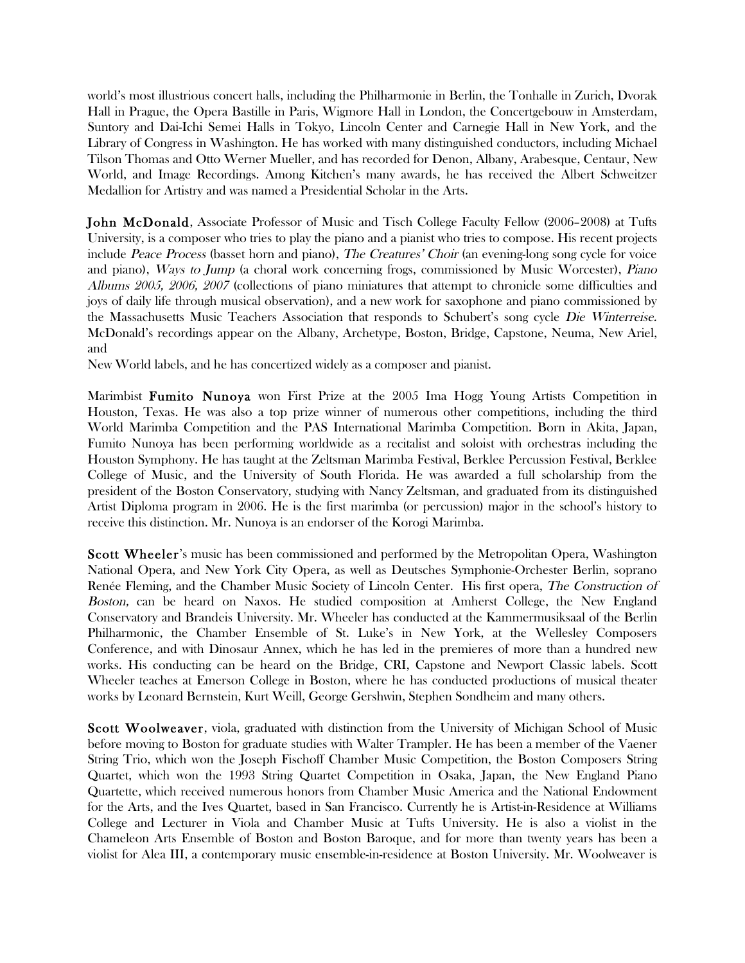world's most illustrious concert halls, including the Philharmonie in Berlin, the Tonhalle in Zurich, Dvorak Hall in Prague, the Opera Bastille in Paris, Wigmore Hall in London, the Concertgebouw in Amsterdam, Suntory and Dai-Ichi Semei Halls in Tokyo, Lincoln Center and Carnegie Hall in New York, and the Library of Congress in Washington. He has worked with many distinguished conductors, including Michael Tilson Thomas and Otto Werner Mueller, and has recorded for Denon, Albany, Arabesque, Centaur, New World, and Image Recordings. Among Kitchen's many awards, he has received the Albert Schweitzer Medallion for Artistry and was named a Presidential Scholar in the Arts.

John McDonald, Associate Professor of Music and Tisch College Faculty Fellow (2006–2008) at Tufts University, is a composer who tries to play the piano and a pianist who tries to compose. His recent projects include Peace Process (basset horn and piano), The Creatures' Choir (an evening-long song cycle for voice and piano), Ways to Jump (a choral work concerning frogs, commissioned by Music Worcester), Piano Albums 2005, 2006, 2007 (collections of piano miniatures that attempt to chronicle some difficulties and joys of daily life through musical observation), and a new work for saxophone and piano commissioned by the Massachusetts Music Teachers Association that responds to Schubert's song cycle Die Winterreise. McDonald's recordings appear on the Albany, Archetype, Boston, Bridge, Capstone, Neuma, New Ariel, and

New World labels, and he has concertized widely as a composer and pianist.

Marimbist Fumito Nunoya won First Prize at the 2005 Ima Hogg Young Artists Competition in Houston, Texas. He was also a top prize winner of numerous other competitions, including the third World Marimba Competition and the PAS International Marimba Competition. Born in Akita, Japan, Fumito Nunoya has been performing worldwide as a recitalist and soloist with orchestras including the Houston Symphony. He has taught at the Zeltsman Marimba Festival, Berklee Percussion Festival, Berklee College of Music, and the University of South Florida. He was awarded a full scholarship from the president of the Boston Conservatory, studying with Nancy Zeltsman, and graduated from its distinguished Artist Diploma program in 2006. He is the first marimba (or percussion) major in the school's history to receive this distinction. Mr. Nunoya is an endorser of the Korogi Marimba.

Scott Wheeler's music has been commissioned and performed by the Metropolitan Opera, Washington National Opera, and New York City Opera, as well as Deutsches Symphonie-Orchester Berlin, soprano Renée Fleming, and the Chamber Music Society of Lincoln Center. His first opera, The Construction of Boston, can be heard on Naxos. He studied composition at Amherst College, the New England Conservatory and Brandeis University. Mr. Wheeler has conducted at the Kammermusiksaal of the Berlin Philharmonic, the Chamber Ensemble of St. Luke's in New York, at the Wellesley Composers Conference, and with Dinosaur Annex, which he has led in the premieres of more than a hundred new works. His conducting can be heard on the Bridge, CRI, Capstone and Newport Classic labels. Scott Wheeler teaches at Emerson College in Boston, where he has conducted productions of musical theater works by Leonard Bernstein, Kurt Weill, George Gershwin, Stephen Sondheim and many others.

Scott Woolweaver, viola, graduated with distinction from the University of Michigan School of Music before moving to Boston for graduate studies with Walter Trampler. He has been a member of the Vaener String Trio, which won the Joseph Fischoff Chamber Music Competition, the Boston Composers String Quartet, which won the 1993 String Quartet Competition in Osaka, Japan, the New England Piano Quartette, which received numerous honors from Chamber Music America and the National Endowment for the Arts, and the Ives Quartet, based in San Francisco. Currently he is Artist-in-Residence at Williams College and Lecturer in Viola and Chamber Music at Tufts University. He is also a violist in the Chameleon Arts Ensemble of Boston and Boston Baroque, and for more than twenty years has been a violist for Alea III, a contemporary music ensemble-in-residence at Boston University. Mr. Woolweaver is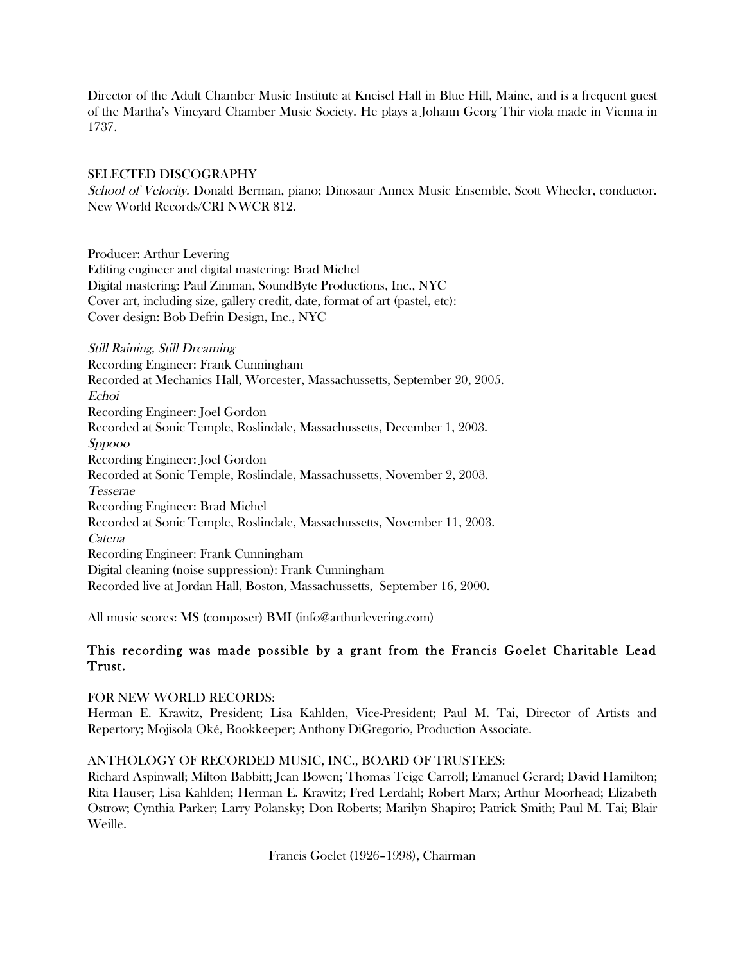Director of the Adult Chamber Music Institute at Kneisel Hall in Blue Hill, Maine, and is a frequent guest of the Martha's Vineyard Chamber Music Society. He plays a Johann Georg Thir viola made in Vienna in 1737.

# SELECTED DISCOGRAPHY

School of Velocity. Donald Berman, piano; Dinosaur Annex Music Ensemble, Scott Wheeler, conductor. New World Records/CRI NWCR 812.

Producer: Arthur Levering Editing engineer and digital mastering: Brad Michel Digital mastering: Paul Zinman, SoundByte Productions, Inc., NYC Cover art, including size, gallery credit, date, format of art (pastel, etc): Cover design: Bob Defrin Design, Inc., NYC

Still Raining, Still Dreaming Recording Engineer: Frank Cunningham Recorded at Mechanics Hall, Worcester, Massachussetts, September 20, 2005. Echoi Recording Engineer: Joel Gordon Recorded at Sonic Temple, Roslindale, Massachussetts, December 1, 2003. Sppooo Recording Engineer: Joel Gordon Recorded at Sonic Temple, Roslindale, Massachussetts, November 2, 2003. Tesserae Recording Engineer: Brad Michel Recorded at Sonic Temple, Roslindale, Massachussetts, November 11, 2003. Catena Recording Engineer: Frank Cunningham Digital cleaning (noise suppression): Frank Cunningham Recorded live at Jordan Hall, Boston, Massachussetts, September 16, 2000.

All music scores: MS (composer) BMI (info@arthurlevering.com)

# This recording was made possible by a grant from the Francis Goelet Charitable Lead Trust.

### FOR NEW WORLD RECORDS:

Herman E. Krawitz, President; Lisa Kahlden, Vice-President; Paul M. Tai, Director of Artists and Repertory; Mojisola Oké, Bookkeeper; Anthony DiGregorio, Production Associate.

### ANTHOLOGY OF RECORDED MUSIC, INC., BOARD OF TRUSTEES:

Richard Aspinwall; Milton Babbitt; Jean Bowen; Thomas Teige Carroll; Emanuel Gerard; David Hamilton; Rita Hauser; Lisa Kahlden; Herman E. Krawitz; Fred Lerdahl; Robert Marx; Arthur Moorhead; Elizabeth Ostrow; Cynthia Parker; Larry Polansky; Don Roberts; Marilyn Shapiro; Patrick Smith; Paul M. Tai; Blair Weille.

Francis Goelet (1926–1998), Chairman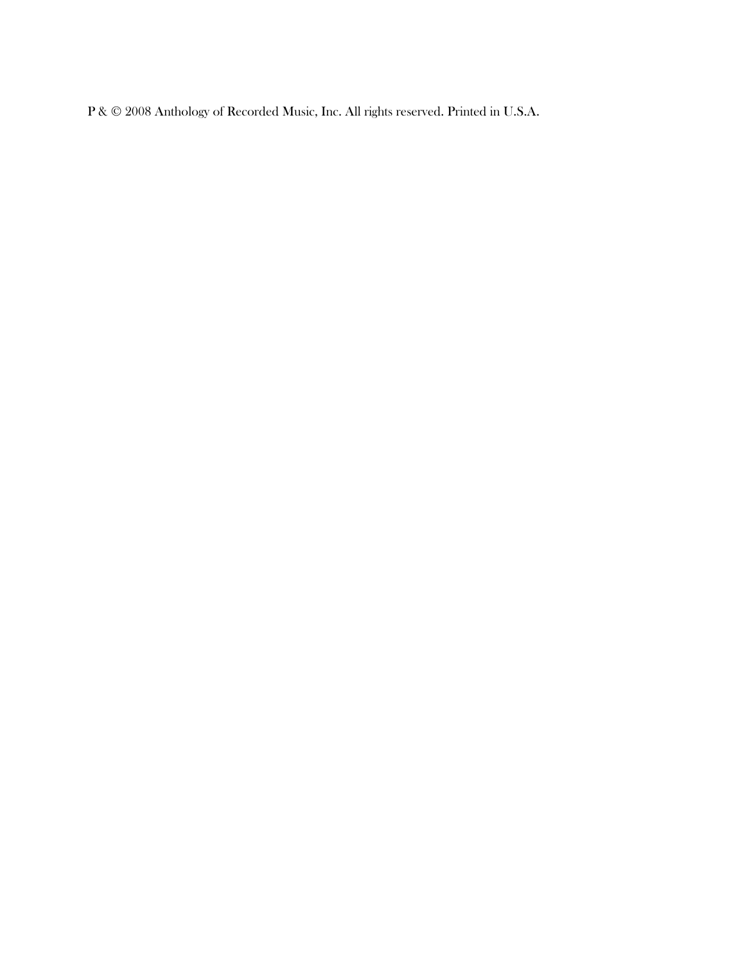P & © 2008 Anthology of Recorded Music, Inc. All rights reserved. Printed in U.S.A.